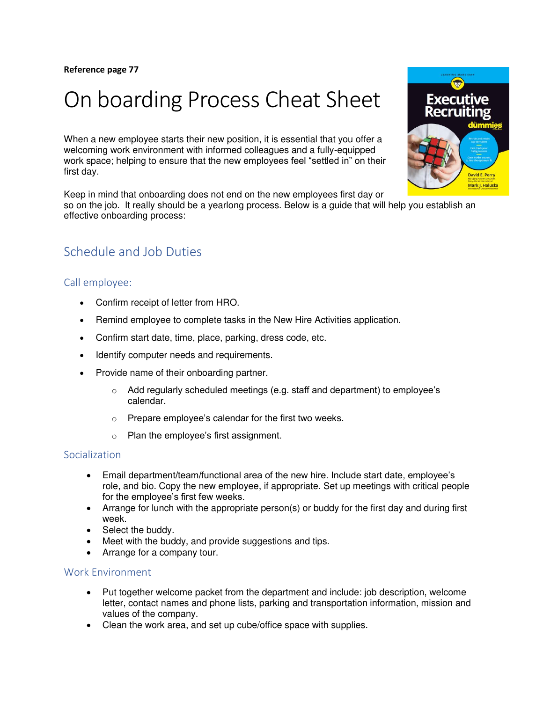# On boarding Process Cheat Sheet

When a new employee starts their new position, it is essential that you offer a welcoming work environment with informed colleagues and a fully-equipped work space; helping to ensure that the new employees feel "settled in" on their first day.

Keep in mind that onboarding does not end on the new employees first day or so on the job. It really should be a yearlong process. Below is a guide that will help you establish an effective onboarding process:

## Schedule and Job Duties

#### Call employee:

- Confirm receipt of letter from HRO.
- Remind employee to complete tasks in the New Hire Activities application.
- Confirm start date, time, place, parking, dress code, etc.
- Identify computer needs and requirements.
- Provide name of their onboarding partner.
	- o Add regularly scheduled meetings (e.g. staff and department) to employee's calendar.
	- $\circ$  Prepare employee's calendar for the first two weeks.
	- o Plan the employee's first assignment.

#### Socialization

- Email department/team/functional area of the new hire. Include start date, employee's role, and bio. Copy the new employee, if appropriate. Set up meetings with critical people for the employee's first few weeks.
- Arrange for lunch with the appropriate person(s) or buddy for the first day and during first week.
- Select the buddy.
- Meet with the buddy, and provide suggestions and tips.
- Arrange for a company tour.

#### Work Environment

- Put together welcome packet from the department and include: job description, welcome letter, contact names and phone lists, parking and transportation information, mission and values of the company.
- Clean the work area, and set up cube/office space with supplies.

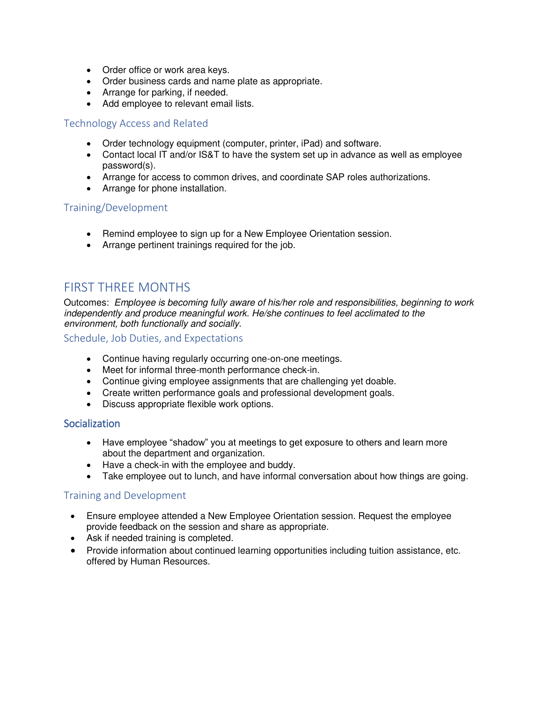- Order office or work area keys.
- Order business cards and name plate as appropriate.
- Arrange for parking, if needed.
- Add employee to relevant email lists.

#### Technology Access and Related

- Order technology equipment (computer, printer, iPad) and software.
- Contact local IT and/or IS&T to have the system set up in advance as well as employee password(s).
- Arrange for access to common drives, and coordinate SAP roles authorizations.
- Arrange for phone installation.

#### Training/Development

- Remind employee to sign up for a [New Employee Orientation](http://hrweb.mit.edu/orientation) session.
- Arrange pertinent trainings required for the job.

### FIRST THREE MONTHS

Outcomes: Employee is becoming fully aware of his/her role and responsibilities, beginning to work independently and produce meaningful work. He/she continues to feel acclimated to the environment, both functionally and socially.

#### Schedule, Job Duties, and Expectations

- Continue having regularly occurring one-on-one meetings.
- Meet for informal three-month performance check-in.
- Continue giving employee assignments that are challenging yet doable.
- Create written performance goals and professional development goals.
- Discuss appropriate flexible work options.

#### Socialization

- Have employee "shadow" you at meetings to get exposure to others and learn more about the department and organization.
- Have a check-in with the employee and buddy.
- Take employee out to lunch, and have informal conversation about how things are going.

#### Training and Development

- Ensure employee attended a New Employee Orientation session. Request the employee provide feedback on the session and share as appropriate.
- Ask if needed training is completed.
- Provide information about continued learning opportunities including tuition assistance, etc. offered by [Human Resources.](http://hrweb.mit.edu/learning-development/)